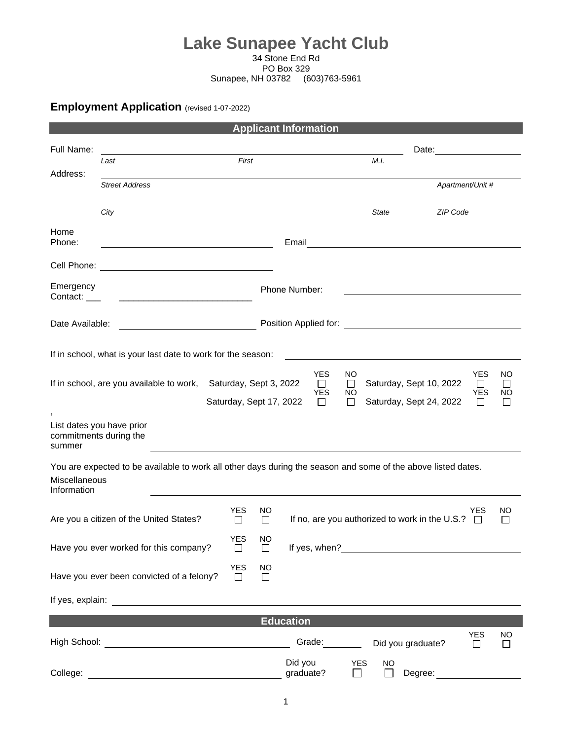## **Lake Sunapee Yacht Club** 34 Stone End Rd

PO Box 329

Sunapee, NH 03782 (603)763-5961

## **Employment Application** (revised 1-07-2022)

|                                                                                                                                               |                                                                                                                        |                         |                     | <b>Applicant Information</b>                 |                                |                             |                                                    |                                              |                          |  |  |
|-----------------------------------------------------------------------------------------------------------------------------------------------|------------------------------------------------------------------------------------------------------------------------|-------------------------|---------------------|----------------------------------------------|--------------------------------|-----------------------------|----------------------------------------------------|----------------------------------------------|--------------------------|--|--|
| Full Name:                                                                                                                                    |                                                                                                                        |                         |                     |                                              |                                |                             | Date:                                              |                                              |                          |  |  |
| Address:                                                                                                                                      | Last                                                                                                                   | First                   |                     |                                              |                                | M.I.                        |                                                    |                                              |                          |  |  |
|                                                                                                                                               | <b>Street Address</b>                                                                                                  |                         |                     |                                              |                                |                             | Apartment/Unit #                                   |                                              |                          |  |  |
|                                                                                                                                               | City                                                                                                                   |                         |                     |                                              |                                | State                       | ZIP Code                                           |                                              |                          |  |  |
| Home<br>Phone:                                                                                                                                | <u> 1980 - Johann Barbara, martxa eta politikar</u>                                                                    |                         |                     | Email                                        |                                |                             |                                                    |                                              |                          |  |  |
| Cell Phone:                                                                                                                                   | <u> 1989 - Johann Stoff, deutscher Stoffen und der Stoffen und der Stoffen und der Stoffen und der Stoffen und der</u> |                         |                     |                                              |                                |                             |                                                    |                                              |                          |  |  |
| Emergency<br>Contact: ___                                                                                                                     | <u> 1990 - John Stein, marking ar yn y systematist yn y brening yn y brening yn y brening yn y brening yn y breni</u>  |                         |                     | Phone Number:                                |                                |                             |                                                    |                                              |                          |  |  |
| Date Available:                                                                                                                               |                                                                                                                        |                         |                     |                                              |                                |                             |                                                    |                                              |                          |  |  |
| If in school, what is your last date to work for the season:                                                                                  |                                                                                                                        |                         |                     |                                              |                                |                             |                                                    |                                              |                          |  |  |
|                                                                                                                                               | If in school, are you available to work, Saturday, Sept 3, 2022                                                        | Saturday, Sept 17, 2022 |                     | <b>YES</b><br>$\Box$<br><b>YES</b><br>$\Box$ | NO.<br>$\Box$<br>NO.<br>$\Box$ |                             | Saturday, Sept 10, 2022<br>Saturday, Sept 24, 2022 | <b>YES</b><br>$\Box$<br><b>YES</b><br>$\Box$ | ΝO<br>$\perp$<br>ΝO<br>□ |  |  |
| List dates you have prior<br>commitments during the<br>summer                                                                                 |                                                                                                                        |                         |                     |                                              |                                |                             |                                                    |                                              |                          |  |  |
| You are expected to be available to work all other days during the season and some of the above listed dates.<br>Miscellaneous<br>Information |                                                                                                                        |                         |                     |                                              |                                |                             |                                                    |                                              |                          |  |  |
|                                                                                                                                               | Are you a citizen of the United States?                                                                                | <b>YES</b><br>$\Box$    | NO.<br>$\Box$       |                                              |                                |                             | If no, are you authorized to work in the U.S.?     | YES<br>$\Box$                                | NO.<br>$\mathsf{L}$      |  |  |
|                                                                                                                                               | Have you ever worked for this company?                                                                                 | <b>YES</b><br>□         | NO<br>□             | If yes, when?                                |                                |                             |                                                    |                                              |                          |  |  |
|                                                                                                                                               | Have you ever been convicted of a felony?                                                                              | <b>YES</b><br>□         | <b>NO</b><br>$\Box$ |                                              |                                |                             |                                                    |                                              |                          |  |  |
|                                                                                                                                               |                                                                                                                        |                         |                     |                                              |                                |                             |                                                    |                                              |                          |  |  |
|                                                                                                                                               |                                                                                                                        |                         |                     | <b>Education</b>                             |                                |                             |                                                    |                                              |                          |  |  |
|                                                                                                                                               |                                                                                                                        |                         |                     | Grade:                                       |                                |                             | Did you graduate?                                  | <b>YES</b><br>□                              | <b>NO</b><br>$\Box$      |  |  |
| College:                                                                                                                                      |                                                                                                                        |                         |                     | Did you<br>graduate?                         | <b>YES</b><br>$\mathsf{L}$     | <b>NO</b><br>$\blacksquare$ | Degree:                                            |                                              |                          |  |  |